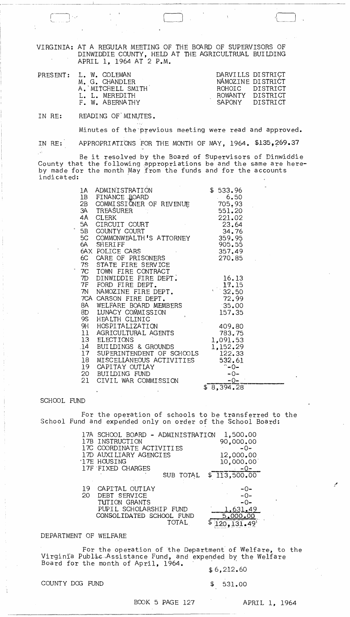VIRGINIA: AT A REGULAR MEETING OF THE BOARD OF SUPERVISORS OF DINWIDDIE COUNTY, HELD AT THE AGRICULTRUAL BUILDING APRIL 1, 1964 AT 2 P.M.

\_\_\_\_\_\_\_\_\_\_\_\_\_\_\_\_\_\_\_\_\_ ~ \_\_\_ L-\_\_ \_ ---~~~~---------------~--

| PRESENT: L. W. COLEMAN<br>M. G. CHANDLER<br>A. MITCHELL SMITH<br>L. L. MEREDITH<br>F. W. ABERNATHY |  | DARVILLS DISTRICT<br>NÁMOZINE DISTRICT<br>ROHOIC DISTRICT<br>ROWANTY DISTRICT<br>SAPONY DISTRICT |
|----------------------------------------------------------------------------------------------------|--|--------------------------------------------------------------------------------------------------|
|----------------------------------------------------------------------------------------------------|--|--------------------------------------------------------------------------------------------------|

IN RE: READING OF MINUTES.

, '

Minutes of the previous meeting were read and approved.

IN RE: APPROPRIATIONS FOR THE MONTH OF MAY, 1964. \$135,269.37

ij kal Be it resolved by the Board of Supervisors of Dinwiddie County that the following appropriations be and the same are hereby made for the month May from the funds and for the accounts indi cat ed:

|    | 1A ADMINISTRATION<br>1B FINANCE BOARD<br>2B COMMISSIONER OF REVENUE    | \$533.96<br>6.50<br>705.93     |  |
|----|------------------------------------------------------------------------|--------------------------------|--|
|    | 3A TREASURER                                                           | 551.20                         |  |
| 5A | 4À CLERK<br>CIRCUIT COURT                                              | 221.02<br>23.64                |  |
| 5B | COUNTY COURT                                                           | 34.76                          |  |
|    | 5C COMMONWEALTH'S ATTORNEY 359.95                                      |                                |  |
|    | 6A SHERIFF<br>6AX POLICE CARS                                          | 905.55                         |  |
|    | 6C CARE OF PRISONERS                                                   | 357.49<br>270.85               |  |
|    | 7S STATE FIRE SERVICE                                                  |                                |  |
|    | 7C TOWN FIRE CONTRACT                                                  |                                |  |
|    | 7D DINWIDDIE FIRE DEPT.                                                | 16.13                          |  |
|    | 7F FORD FIRE DEPT.<br>7N NAMOZINE FIRE DEPT.                           | $\frac{17.15}{32.50}$<br>72.99 |  |
|    | 7CA CARSON FIRE DEPT.                                                  |                                |  |
|    | 8A WELFARE BOARD MEMBERS                                               | 35,00                          |  |
|    | SD LUNACY COMMISSION<br>9S HEALTH CLINIC<br>9H HOSPITALIZATION         | 157.35                         |  |
|    |                                                                        |                                |  |
|    | 11 AGRICULTURAL AGENTS                                                 | 409.80                         |  |
|    | 13 ELECTIONS                                                           | $783.75$<br>1,091.53           |  |
|    | 14 BUILDINGS & GROUNDS                                                 |                                |  |
|    | 14 BUILDINGS & GROUNDS 1,152.29<br>17 SUPERINTENDENT OF SCHOOLS 122.33 |                                |  |
|    | 18 MISCELLANEOUS ACTIVITIES                                            | 532.61                         |  |
|    | 19 CAPITAY OUTLAY<br>20 BUILDING FUND                                  | $-0-$<br>$-0-$                 |  |
|    | 21 CIVIL WAR COMMISSION                                                | $-0-$                          |  |
|    |                                                                        | \$8,394.28                     |  |

# SCHOOL FUND

For the operation of schools to be transferred to the School Fund and expended only on order of the School Board:

|    | 17A SCHOOL BOARD - ADMINISTRATION | 1,500.00     |
|----|-----------------------------------|--------------|
|    | 17B INSTRUCTION                   | 90,000,00    |
|    | 17C COORDINATE ACTIVITIES         | $-0-$        |
|    | 17D AUXILIARY AGENCIES            | 12,000.00    |
|    | '17E HOUSING                      | 10,000.00    |
|    | 17F FIXED CHARGES                 | $-0-$        |
|    | SUB TOTAL                         | \$113,500.00 |
|    |                                   |              |
| 19 | CAPTTAL OUTLAY                    | -0-          |
| 20 | DEBT SERVICE                      | $-0-$        |
|    | TUTION GRANTS                     | $-0-$        |
|    |                                   |              |
|    | PUPIL SCHOLARSHIP FUND            | 1,631.49     |
|    | CONSOLIDATED SCHOOL FUND          | 5,000.00     |
|    | TOTAL                             | 20, 131, 49  |

## DEPARTMENT OF WELFARE

For the operation of the Department' of Welfare, to the Virginia Public.Assistance Fund, and expended by the Welfare Board for the month of April, 1964.

\$ 6,212.60

COUNTY DOG FUND \$ 531.00

 $\bar{z}$  $\frac{1}{3}$ 

 $\bar{z}$ 

 $\frac{1}{2}$ 

BOOK 5 PAGE 127 APRIL 1, 1964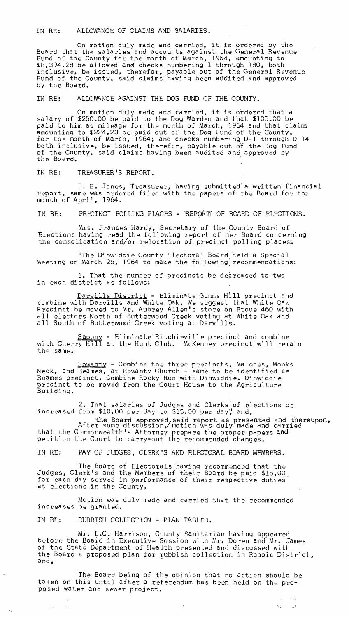IN RE: ALLOWANCE OF CLAIMS AND SALARIES.

On motion duly made and carried, it is ordered by the Board that the salaries and accounts against the General Revenue Fund of the County for the month of March, 1964, amounting to \$8,394.28 be allowed and checks numbering 1 through 180, both inclusive. be issued, therefor, payable out of the General Revenue Fund of the County, said claims having been audited and approved by the Board.

IN RE: ALLOWANCE AGAINST THE DOG FUND OF THE COUNTY.

On motion duly made and carried, it is ordered that a salary of \$250.00 be paid to the Dog Warden and that \$105.00 be paid to him as mileage for the month of March, 1964 and that claims amounting to \$224.23 be paid out of the Dog Fund of the County, for the month of Marth, 1964; and checks numbering 0-1 through 0-14 both inclusive, be issued, therefor, payable out of the Dog Fund of the County, said claims having been audited and approved by the Board. <

IN RE: TREASURER'S REPORT.

F. E. Jones, Treasurer, having submitted' a written financial report, same was ordered filed with the papers of the Board for the month of April, 1964.

IN RE: PRECINCT POLLING PLACES - IREPORTI OF BOARD OF ELECTIONS.

Mrs. Frances Hardy, Secretary of the County Board of Elections having read the following report of her Board concerning the consolidation and/or relocation of precinct polling places:

"The Dinwiddie County Electoral Board held a Special Meeting on March 25, 1964 to make the following recommendations:

1. That the number of precincts be decreased to two in each district as follows:

Darvills District - Eliminate Gunns Hill precinct and combine with Darvills and White Oak. We suggest that White Oak Precinct be moved to Mr. Aubrey Allen's store on Rtoue 460 with all electors North of Butterwood Creek voting at White Oak and all South of Butterwood Creek voting at Darvills.

Sapony - Eliminate Ritchieville precinct and combine with Cherry Hill at the Hunt Club. McKenney precinct will remain the same.

Rowanty - Combine the three precincts, Malones, Monks Neck, and Reames, at Rowanty Church - same to be identified as Reames precinct. Combine Rocky Run with Dinwiddie. Dinwiddie precinct to be moved from the Court House to the Agriculture Building.

2. That salaries of Judges and Clerks'of elections be increased from  $$10.00$  per day to  $$15.00$  per day" and,

the Board approved, said report as presented and thereupon, After some discussion, motion was duly made and carried that the Commonwealth's Attorney prepare the proper papers and petition the Court to carry-out the recommended changes.

IN RE: PAY OF JUDGES, CLERK'S AND ELECTORAL BOARD MEMBERS.

The Board of Electorals having recommended that the Judges, Clerk's and the Members of their Board be paid \$15.00 for each day served in performance of their respective duties at elections in the County,

Motion was duly made and carried that the recommended increases be granted.

IN RE: RUBBISH COLLECTICN - PLAN TABLED.

 $\sim$   $^{\prime}$ 

 $\mathbf{e}_i$ 

Mr. L.C. Harrison, County Sanitarian having appeared before the Board in Executive Session with Mr. Doren and Mr. James of the State Department of Health presented and discussed with the Board a proposed plan for rubbish collection in Rohoic District,

The Board being of the opinion that no action should be taken on this until after a referendum has been held on the proposed water and sewer project.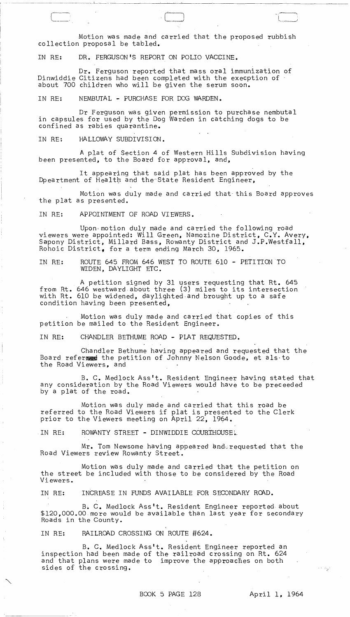Motion was made and carried that the proposed rubbish collection proposal be tabled.

IN RE: DR. FERGUSON'S REPORT ON POLIO VACCINE.

Dr. Ferguson reported that mass oral immunization of Dinwiddie Citizens had been completed with the execption of about 700 children who will be given the serum soon.

IN RE: NEMBUTAL - PURCHASE FOR DOG WARDEN.

Dr Ferguson was given permission to purchase nembutal in capsules for used by the Dog Warden in catching dogs to be confined as rabies quarantine.

IN RE: HALLOWAY SUBDIVISION.

A plat of Section 4 of Western Hills Subdivision having been presented, to the Board for approval, and,

It appearing that said plat has been approved by the Dpeartment of Health and the State Resident Engineer,

Motion was duly made and carried that this Board approves the plat as presented.

IN RE: APPOINTMENT OF ROAD VIEWERS.

Upon motion duly made and carried the following road<br>viewers were appointed: Will Green, Namozine District, C.Y. Avery, Sapony District, Millard Bass, Rowanty District and J.P.Westfall, Rohoic District, for a term ending March 30, 1965.

IN RE: ROUTE 645 FROM 646 WEST TO ROUTE 610 - PETITION TO WIDEN, DAYLIGHT ETC.

A petition signed by 31 users requesting that Rt. 645 from Rt. 646 westward about three (3) miles to its intersection with Rt. 610 be widened, daylighted·and brought up to a safe condition having been presented,

Motion was duly made and carried that copies of this petition be mailed to the Resident Engineer.

IN RE: CHANDLER BETHUME ROAD - PLAT REQUESTED.

Chandler Bethume having appeared and requested that the Board refer<sub>ed</sub> the petition of Johnny Nelson Goode, et als-to the Road Viewers, and

B. C. Medlock Ass't. Resident Engineer having stated that any consideration by the Road Viewers would have to be preceeded by a plat of the road.

Motion was duly made and carried that this road be referred to the Road Viewers if plat is presented to the Clerk prior to the Viewers meeting on April 22, 1964.

. IN RE: ROWANTY STREET - DINWIDDIE COURTHOUSE: .

Mr. Tom Newsome having appeared and requested that the Road Viewers review Rowanty Street.

Motion was duly made and carried that the petition on the street be included with those to be considered by the Road Vi ewers.

IN RE: INCREASE IN FUNDS AVAILABLE FOR SECONDARY ROAD.

B. C. Medlock Ass't. Resident Engineer reported about \$120,000.00 more would be available than last year for secondary Roads in the County.

IN RE: RAILROAD CROSSING ON ROUTE #624.

 $\frac{1}{2}$ 

B. C. Medlock Ass't. Resident Engineer reported an inspection had been made of the railroad crossing on Rt. 624 and that plans were made to improve the approaches on both sides of the crossing.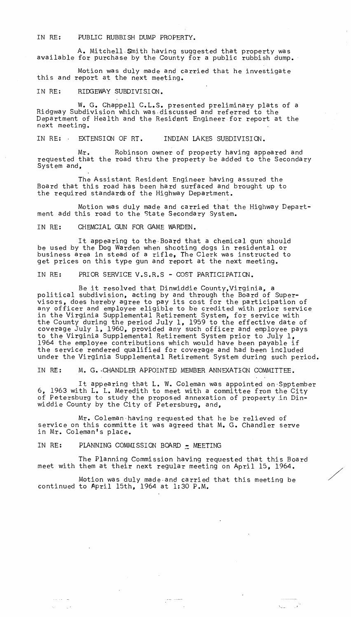IN RE: PUBLIC RUBBISH DUMP PROPERTY.

A. Mitchell·smith having suggested that property was available for purchase by the County for a public rubbish dump.

Motion was duly made and carried that he investigate this and report at the next meeting.

IN RE: RIDGEWAY SUBDIVISION.

W. G. Chappell C.L.S. presented preliminary plats of a Ridgway Subdivision which was·discussed and referred to the Department of Health and the Resident Engineer for report at the next meeting.

IN RE: . EXTENSION OF RT. INDIAN LAKES SUBDIVISION.

Mr. Robinson owner of property having appeared and requested that the road thru the property be added to the Secondary System and,

The Assistant Resident Engineer having assured the Board that this road has been hard surfaced and brought up to the required standar&of the Highway Department.

Motion was duly made and carried that the Highway Department add this road to the State Secondary System.

IN RE: CHEMCIAL GUN FOR GAME WARDEN.

It appearing to the Board that a chemical gun should be used by the Dog Warden when shooting dogs in residental or business area in stead of a rifle, The Clerk was instructed to get prices on this type gun and report at the next meeting.

IN RE: PRIOR SERVICE V.S.R.S - COST PARTICIPATION.

Be it resolved that Dinwiddie County,Virginia, a political subdivision, acting by and through the Board of Supervisors, does hereby agree to pay its cost for the participation of any officer and employee eligible to be credited with prior service in the Virginia Supplemental Retirement System, for service with the County during the period July 1, 1959 to the effective date of coverage July 1, 1960, provided any such officer and employee pays to the Virginia Supplemental Retirement System prior to July 1, 1964 the employee contributions which would have been payable if the service rendered qualified for coverage and had been included under the Virginia Supplemental Retirement System during such period.

IN RE: M. G. «CHANDLER APPOINTED MEMBER ANNEXATION COMMITTEE.

It appearing that L. W. Coleman was appointed on Spptember 6, 1963 with L. L. Meredith to meet with a committee from the City of Petersburg to study the proposed annexation of property in Dinwiddie County by the City of Petersburg, and,

Mr. Coleman·having requested that he be relieved of service on this committe it was agreed that M. G. Chandler serve in Mr. Coleman's place.

IN RE: PLANNING COMMISSION BOARD = MEETING

The Planning Commission having requested that this Board meet with them at their next regular meeting on April 15, 1964.

.J

 $\mathcal{L}^{\text{max}}_{\text{max}}$  .

/

Motion was duly made·and carried that this meeting be continued to April 15th, 1964 at 1:30 P.M.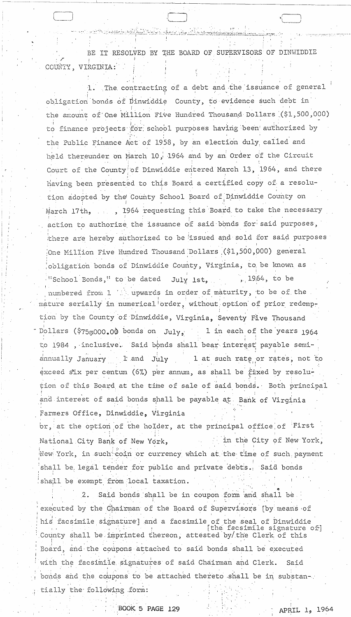BE IT RESOLVED BY THE BOARD OF SUPERVISORS OF DINWIDDIE COUNTY, VIRGINIA:

The contracting of a debt and the issuance of general obligation bonds of Dinwiddie County, to evidence such debt in the amount of One Million Five Hundred Thousand Dollars (\$1,500,000) to finance projects for school purposes having been authorized by the Public Finance Act of 1958, by an election duly called and held thereunder on March 10, 1964 and by an Order of the Circuit Court of the County of Dinwiddie entered March 13, 1964, and there having been presented to this Board a certified copy of a resolution adopted by the County School Board of Dinwiddie County on March 17th, ..., 1964 requesting this Board to take the necessary action to authorize the issuance of said bonds for said purposes, there are hereby authorized to be issued and sold for said purposes One Million Five Hundred Thousand Dollars (\$1,500,000) general obligation bonds of Dinwiddie County, Virginia, to be known as "School Bonds," to be dated , 1964, to be July 1st. numbered from 1 (a) upwards in order of maturity, to be of the mature serially in numerical order, without option of prior redemption by the County of Dinwiddie, Virginia, Seventy Five Thousand Dollars (\$75<sub>9000.0</sub>) bonds on July, I in each of the years  $1964$ to 1984, inclusive. Said bonds shall bear interest payable semi-1 and July 1 at such rate or rates, not to annually January exceed six per centum (6%) per annum, as shall be fixed by resolution of this Board at the time of sale of said bonds. Both principal and interest of said bonds shall be payable at Bank of Virginia Farmers Office, Dinwiddie, Virginia

or, at the option of the holder, at the principal office of First in the City of New York, National City Bank of New York, New York, in such coin or currency which at the time of such payment shall be legal tender for public and private debts. Said bonds shall be exempt from local taxation.

Said bonds shall be in coupon form and shall be  $2.$ executed by the Chairman of the Board of Supervisors [by means of his facsimile signature] and a facsimile of the seal of Dinwiddie [the facsimile signature of] County shall be imprinted thereon, attested by/the Clerk of this Board, and the coupons attached to said bonds shall be executed with the facsimile signatures of said Chairman and Clerk. Said bonds and the coupons to be attached thereto shall be in substantially the following form:

BOOK 5 PAGE 129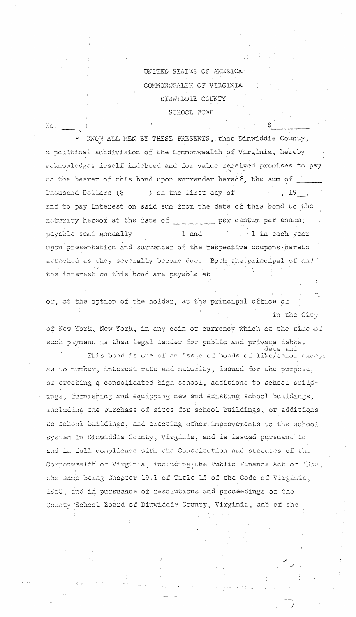UNITED STATES OF AMERICA COMMONWEALTH OF VIRGINIA DINWIDDIE COUNTY SCHOOL BOND

KNOW ALL MEN BY THESE PRESENTS, that Dinwiddie County, a political subdivision of the Commonwealth of Virginia, hereby acknowledges itself indebted and for value received promises to pay to the bearer of this bond upon surrender hereof, the sum of Thousand Dollars (\$ ) on the first day of , 19, and to pay interest on said sum from the date of this bond to the maturity hereof at the rate of \_\_\_\_\_\_\_ per centum per annum, payable semi-annually 1 and 1 in each year upon presentation and surrender of the respective coupons nereto attached as they severally become due. Both the principal of and the interest on this bond are payable at

or, at the option of the holder, at the principal office of in the City

of New York, New York, in any coin or currency which at the time of such payment is then legal tender for public and private debts.

This bond is one of an issue of bonds of like/tenor except as to number, interest rate and maturity, issued for the purpose, of erecting a consolidated high school, additions to school buildings, furnishing and equipping new and existing school buildings, including the purchase of sites for school buildings, or additions to school buildings, and erecting other improvements to the school system in Dinwiddie County, Virginia, and is issued pursuant to and in full compliance with the Constitution and statutes of the Commonwealth of Virginia, including the Public Finance Act of 1958, the same being Chapter 19.1 of Title 15 of the Code of Virginia, 1950, and in pursuance of resolutions and proceedings of the County School Board of Dinwiddie County, Virginia, and of the

No.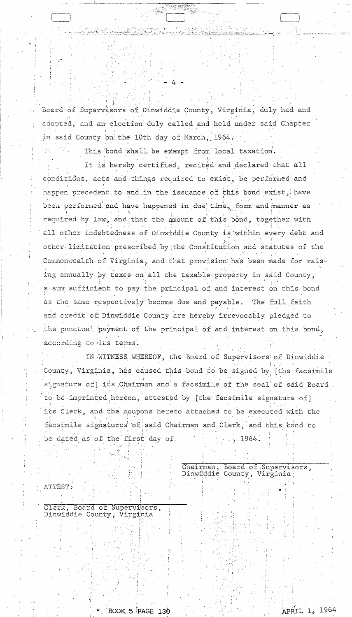Board of Supervisors of Dinwiddie County, Virginia, duly had and adopted, and an election duly called and held under said Chapter in said County on the 10th day of March; 1964.

This bond shall be exempt from local taxation.

It is hereby certified, recited and declared that all conditions, acts and things required to exist, be performed and happen precedent to and in the issuance of this bond exist, have been performed and have happened in due time, form and manner as required by law, and that the amount of this bond, together with all other indebtedness of Dinwiddie County is within every debt and other limitation prescribed by the Constitution and statutes of the Commonwealth of Virginia, and that provision has been made for raising annually by taxes on all the taxable property in said County, a sum sufficient to pay the principal of and interest on this bond as the same respectively become due and payable. The full faith and credit of Dinwiddie County are hereby irrevocably pledged to the punctual payment of the principal of and interest on this bond, according to its terms.

IN WITNESS WHEREOF, the Board of Supervisors of Dinwiddie County, Virginia, has caused this bond to be signed by [the facsimile signature of] its Chairman and a facsimile of the seal of said Board to be imprinted hereon, attested by [the facsimile signature of] its Clerk, and the coupons hereto attached to be executed with the facsimile signatures of said Chairman and Clerk, and this bond to be dated as of the first day of  $\cdot$  1964.

Chairman, Board of Supervisors, Dinwiddie County, Virginia

ATTEST:

Clerk, Board of Supervisors, Dinwiddie County,

BOOK 5 PAGE 130

APRIL 1, 1964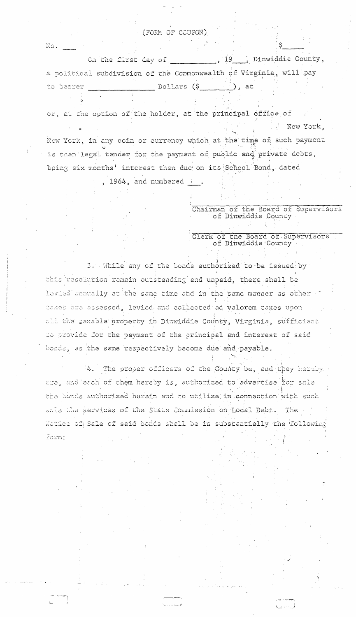(FORM OF COUPON)

|           | On the first day of |  |                                                                   |         | 19 . Dinwiddie County, |  |
|-----------|---------------------|--|-------------------------------------------------------------------|---------|------------------------|--|
|           |                     |  | a political subdivision of the Commonwealth of Virginia, will pay |         |                        |  |
| to bearer |                     |  | Dollars (\$                                                       | $),$ at |                        |  |

or, at the option of the holder, at the principal office of

New York, in any coin or currency which at the time of such payment is then legal tender for the payment of public and private debts, being six months' interest then due on its School Bond, dated

, 1964, and numbered

No.

Chairman of the Board of Supervisors of Dinwiddie County

Clerk of the Board of Supervisors of Dinwiddie County

New York.

3. While any of the bonds authorized to be issued by this resolution remain outstanding and unpaid, there shall be levied annually at the same time and in the same manner as other takes are assessed, levied and collected ad valorem taxes upon cll the gakable property in Dinwiddie County, Virginia, sufficient to provide for the payment of the principal and interest of said bonds, as the same respectively become due and payable.

 $\mathcal{L}_{\text{max}}$ The proper officers of the County be, and they hereby are, and each of them hereby is, authorized to advertise for sale the bonds authorized herein and to utilize in connection with such sale the services of the State Commission on Local Debt. The Notice of Sale of said bonds shall be in substantially the following Houm: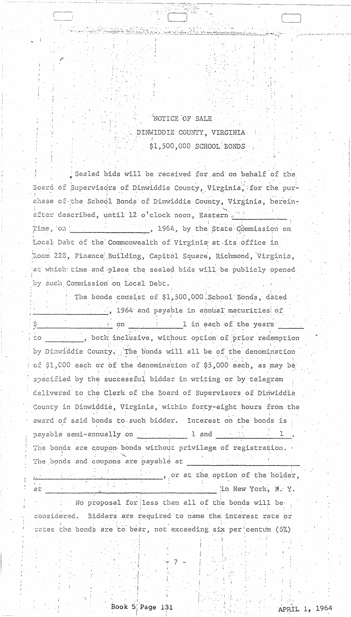NOTICE OF SALE DINWIDDIE COUNTY, VIRGINIA \$1,500,000 SCHOOL BONDS

Sealed bids will be received for and on behalf of the Board of Supervisors of Dinwiddie County, Virginia, for the purchase of the School Bonds of Dinwiddie County, Virginia, hereinafter described, until 12 o'clock noon, Eastern

Time, on 1964, by the State Commission on Local Debt of the Commonwealth of Virginia at its office in Room 228, Finance Building, Capitol Square, Richmond, Virginia, at which time and place the sealed bids will be publicly opened by such Commission on Local Debt.

The bonds consist of \$1,500,000 School Bonds, dated 4. 1964 and payable in annual maturities of 1 in each of the years , both inclusive, without option of prior redemption by Dinwiddie County. The bonds will all be of the denomination of \$1,000 each or of the denomination of \$5,000 each, as may be specified by the successful bidder in writing or by telegram delivered to the Clerk of the Board of Supervisors of Dinwiddie County in Dinwiddie, Virginia, within forty-eight hours from the award of said bonds to such bidder. Interest on the bonds is payable semi-annually on 1 and The bonds are coupon bonds without privilege of registration. The bonds and coupons are payable at

, or at the option of the holder, in New York, N. Y. No proposal for less than all of the bonds will be considered. Bidders are required to name the interest rate or rates the bonds are to bear, not exceeding six per centum (5%)

Book  $5^{\prime}$  Page 131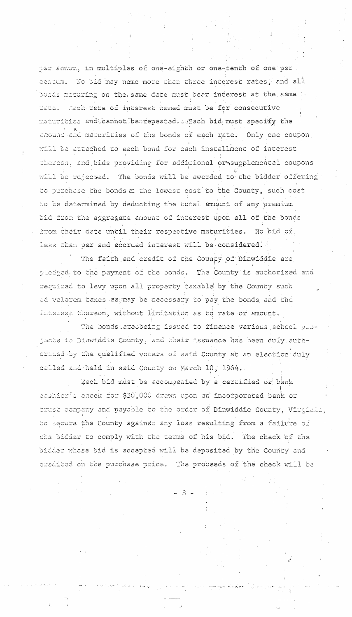per annum, in multiples of one-eighth or one-tenth of one per contum. No bid may name more than three interest rates, and all boods maturing on the same date must bear interest at the same rate. Rach rate of interest named must be for consecutive maturities and cannot beorepeated. Skach bid must specify the amount and maturities of the bonds of each rate. Only one coupon will be attached to each bond for each installment of interest thereon, and bids providing for additional or supplemental coupons will be rejected. The bonds will be awarded to the bidder offering to purchase the bonds at the lowest cost to the County, such cost to be determined by deducting the total amount of any premium bid from the aggregate amount of interest upon all of the bonds from their date until their respective maturities. No bid of. less than par and accrued interest will be considered.

The faith and credit of the County of Dinwiddie are pledged to the payment of the bonds. The County is authorized and required to levy upon all property taxable by the County such ad valorem taxes as may be necessary to pay the bonds and the interest thereon, without limitation as to rate or amount.

The bondsgaresbeing issued to finance various school projects in Dinwiddie County, and their issuance has been duly authorized by the qualified voters of said County at an election duly called and held in said County on March 10, 1964.

Rach bid must be accompanied by a certified or bank cashier's check for \$30,000 drawn upon an incorporated bank or trust company and payable to the order of Dinwiddie County, Virginia, to secure the County against any loss resulting from a failure of the bidder to comply with the terms of his bid. The check of the bidder whose bid is accepted will be deposited by the County and credited on the purchase price. The proceeds of the check will be

 $8 -$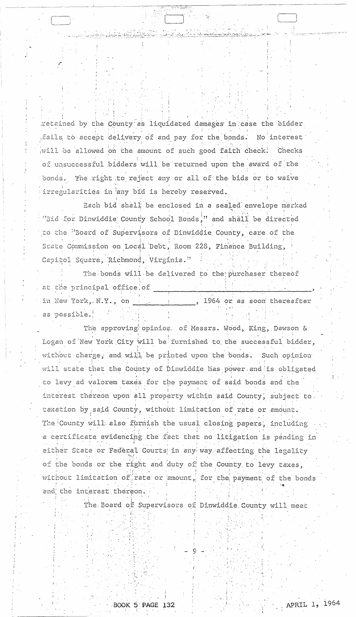retained by the County as liquidated damages in case the bidder. fails to accept delivery of and pay for the bonds. No interest will be allowed on the amount of such good faith check. Checks of unsuccessful bidders will be returned upon the award of the bonds. The right to reject any or all of the bids or to waive irregularities in any bid is hereby reserved.

Each bid shall be enclosed in a sealed envelope marked "Bid for Dinwiddie County School Bonds," and shall be directed to the "Board of Supervisors of Dinwiddie County, care of the State Commission on Local Debt, Room 228, Finance Building, Capitol Square, Richmond, Virginia."

The bonds will be delivered to the purchaser thereof at the principal office of in New York, N.Y., on (1964) or as soon thereafter as possible.

The approving opinion. of Messrs. Wood, King, Dawson & Logan of New York City will be furnished to the successful bidder, without charge, and will be printed upon the bonds. Such opinion will state that the County of Dinwiddie has power and is obligated to levy ad valorem taxes for the payment of said bonds and the interest thereon upon all property within said County, subject to taxation by said County, without limitation of rate or amount. The County will also furnish the usual closing papers, including a certificate evidencing the fact that no litigation is pending in either State or Federal Courts in any way affecting the legality of the bonds or the right and duty of the County to levy taxes, without limitation of rate or amount, for the payment of the bonds and the interest thereon.

The Board of Supervisors of Dinwiddie County will meet

BOOK 5 PAGE 132

APRIL 1, 1964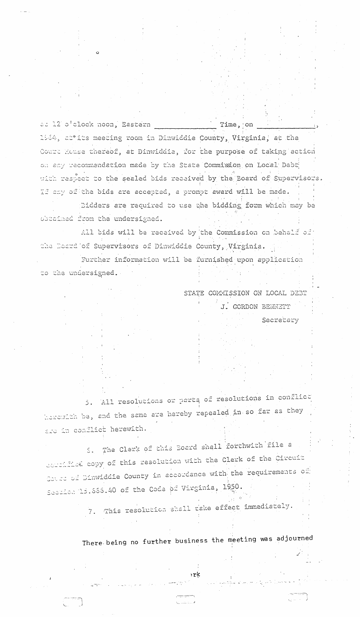at 12 o'clock noon, Eastern Time, on 1964, at its meeting room in Dinwiddie County, Virginia, at the Court Mouse thereof, at Dinwiddie, for the purpose of taking action on any recommendation made by the State Commision on Local Debt with respect to the sealed bids received by the Board of Supervisors. If any of the bids are accepted, a prompt award will be made.

Bidders are required to use the bidding form which may be obtdined from the undersigned.

All bids will be received by the Commission on behalf of the Board'of Supervisors of Dinwiddie County, Virginia.

Further information will be furnished upon application to the undersigned.

> STATE COMMISSION ON LOCAL DEBT J. GORDON BENNETT

> > Secretary

5. All resolutions or parts of resolutions in conflict herewith be, and the same are hereby repealed in so far as they are in conflict herewith.

The Clerk of this Board shall forthwith file a s. correlike copy of this resolution with the Clerk of the Circuit Court of Dinwiddie County in accordance with the requirements of Section 15.666.40 of the Code of Virginia, 1950.

7. This resolution shall take effect immediately.

There being no further business the meeting was adjourned

∍rk

 $\mathbf{r}$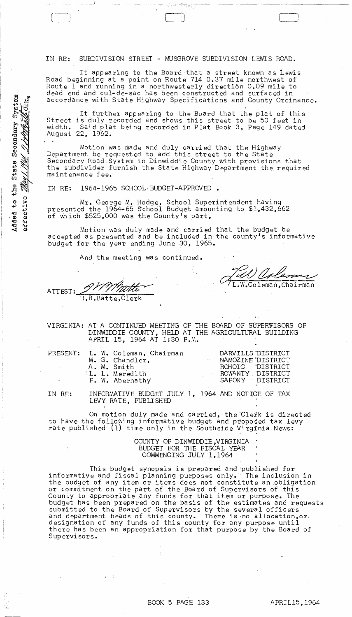IN RE: SUBDIVISION STREET - MUSGROVE SUBDIVISION LEWIS ROAD.

It appearing to the Board that a street known as Lewis Road beginning at a point on Route 714 0.37 mile northwest of Route 1 and running in a northwesterly direction 0.09 mile to dead end and cul-de-sac has been constructed and surfaced in accordance with State Highway Specifications and County Ordinance.

----- -----------------~--~-----~~, \_~\_ ,-c---\_ --~-~--~-~-----------

Street width. August 22, 1962. It further appearing to the Board that the plat of this is duly recorded and shows this street to be 50 feet in Said plat being recorded in Plat Book 3, Page 149 dated

Motion was made and duly carried that the Highway Department be requested to add this street to the State Bepartment be requested to but the county with provisions that the subdivider furnish the State Highway Department the required maintenance fee.

IN RE: 1964-1965 SCHOOL, BUDGET-APPROVED.

Mr. George. M. Hodge, School Superintendent having presented the 1964-65 School Budget amounting to \$1,432,662 of which \$525,000 was the County's part,

Motion was duly made and carried that the budget be accepted as presented and be included in the county's informative budget for the year ending June 30, 1965.

And the meeting was continued.

ATTEST: H.B.Batte,Clerk

 $\Delta \phi = 0.01$  and  $\Delta \phi$ 

 $\mathbf{D}^{\text{max}}_{\text{max}} = \frac{1}{\mathbf{D}} \sum_{i=1}^{n} \frac{1}{\mathbf{D}_{i}} \sum_{j=1}^{n} \frac{1}{j} \sum_{j=1}^{n} \frac{1}{j} \sum_{j=1}^{n} \frac{1}{j} \sum_{j=1}^{n} \frac{1}{j} \sum_{j=1}^{n} \frac{1}{j} \sum_{j=1}^{n} \frac{1}{j} \sum_{j=1}^{n} \frac{1}{j} \sum_{j=1}^{n} \frac{1}{j} \sum_{j=1}^{n} \frac{1}{j} \sum_{j=1}^{n} \frac{1$ 

VIRGINIA: AT A CONTINUED MEETING OF THE BOARD OF SUPERVISORS OF DINWIDDIE COUNTY, HELD AT THE AGRICULTURAL BUILDING APRIL 15, 1964 AT 1:30 P.M.

|  | PRESENT: L. W. Coleman, Chairman | DARVILLS 'DISTRICT |
|--|----------------------------------|--------------------|
|  | M. G. Chandler.                  | NAMOZINE DISTRICT  |
|  | A. M. Smith                      | ROHOIC PISTRICT    |
|  | "L. L. Meredith"                 | ROWANTY DISTRICT   |
|  | F W Aharnathy                    | SAPONY DISTRICT    |

NAMOZINE 'DISTRICT<br>ROHOIC 'DISTRICT °DISTRICT ROWANTY 'DISTRICT<br>SAPONY - DISTRICT DISTRICT

Coleman, Chairman

IN RE: INFORMATIVE BUDGET JULY 1, 1964 AND NOTICE OF TAX LEVY RATE, PUBLISHED

On motion duly made and carried, the Clerk is directed to have the following informative budget and proposed tax levy rate published (1) time only in the Southside Virginia News:

> COUNTY OF DINWIDDIE, VIRGINIA BUDGET FOR THE FISCAL YEAR COMMENCING JULY 1,1964

This budget synopsis is prepared and 'published for informative and fiscal planning purposes only. " The inclusion in the budget of any item or items does not constitute an obligation or commitment on the part of the Board of Supervisors of this County to appropriate any funds for that item or purpose. The budget has been prepared on the basis of the-estimates and requests submitted to the Board of Supervisors by the several officers and department heads of this county. There is ·no a11ocation,or. designation of any funds of this county for any purpose until there has been an appropriation for that purpose by the Board of Supervisors.